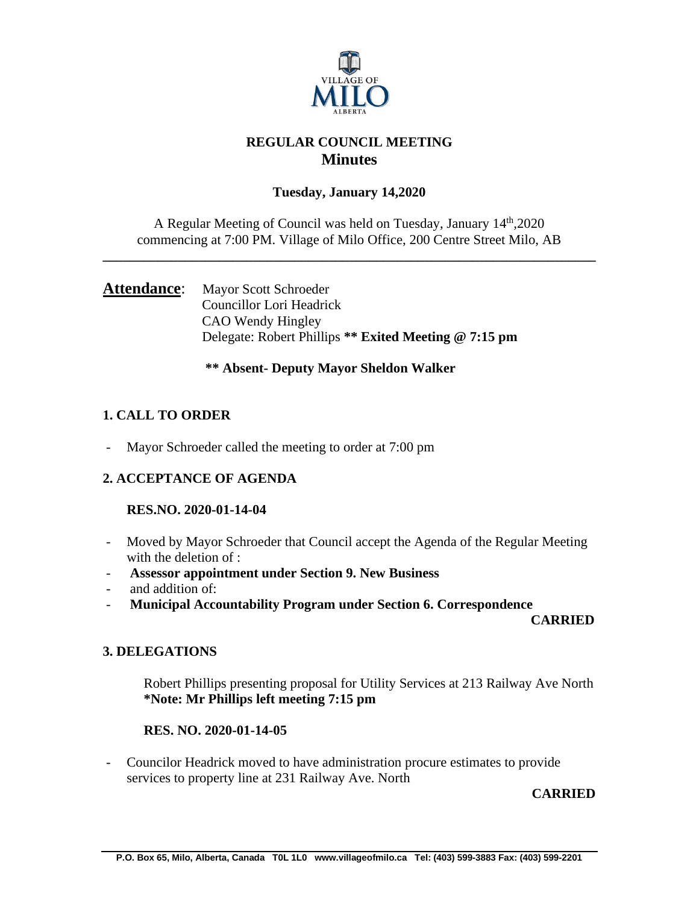

## **REGULAR COUNCIL MEETING Minutes**

## **Tuesday, January 14,2020**

A Regular Meeting of Council was held on Tuesday, January 14th,2020 commencing at 7:00 PM. Village of Milo Office, 200 Centre Street Milo, AB

**\_\_\_\_\_\_\_\_\_\_\_\_\_\_\_\_\_\_\_\_\_\_\_\_\_\_\_\_\_\_\_\_\_\_\_\_\_\_\_\_\_\_\_\_\_\_\_\_\_\_\_\_\_\_\_\_\_\_\_\_\_\_\_\_\_\_\_\_\_\_\_\_**

## Attendance: Mayor Scott Schroeder Councillor Lori Headrick CAO Wendy Hingley Delegate: Robert Phillips **\*\* Exited Meeting @ 7:15 pm**

## **\*\* Absent- Deputy Mayor Sheldon Walker**

## **1. CALL TO ORDER**

Mayor Schroeder called the meeting to order at 7:00 pm

## **2. ACCEPTANCE OF AGENDA**

#### **RES.NO. 2020-01-14-04**

- Moved by Mayor Schroeder that Council accept the Agenda of the Regular Meeting with the deletion of :
- **Assessor appointment under Section 9. New Business**
- and addition of:
- **Municipal Accountability Program under Section 6. Correspondence**

 **CARRIED**

## **3. DELEGATIONS**

Robert Phillips presenting proposal for Utility Services at 213 Railway Ave North **\*Note: Mr Phillips left meeting 7:15 pm**

## **RES. NO. 2020-01-14-05**

- Councilor Headrick moved to have administration procure estimates to provide services to property line at 231 Railway Ave. North

**CARRIED**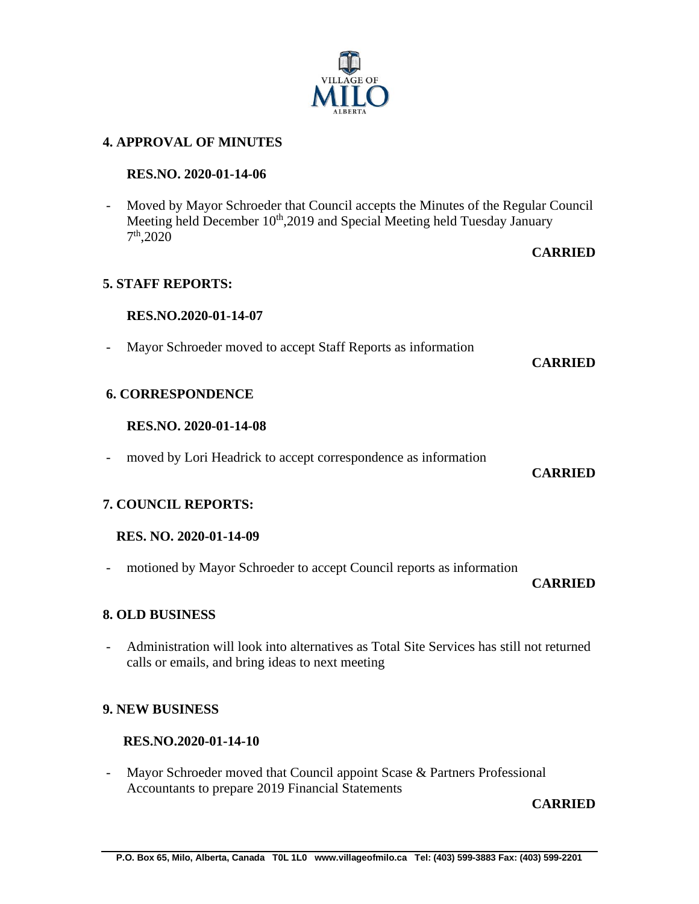# **4. APPROVAL OF MINUTES**

#### **RES.NO. 2020-01-14-06**

- Moved by Mayor Schroeder that Council accepts the Minutes of the Regular Council Meeting held December 10<sup>th</sup>,2019 and Special Meeting held Tuesday January 7 th,2020

## **CARRIED**

#### **5. STAFF REPORTS:**

#### **RES.NO.2020-01-14-07**

- Mayor Schroeder moved to accept Staff Reports as information

#### **CARRIED**

#### **6. CORRESPONDENCE**

#### **RES.NO. 2020-01-14-08**

- moved by Lori Headrick to accept correspondence as information

#### **CARRIED**

#### **7. COUNCIL REPORTS:**

#### **RES. NO. 2020-01-14-09**

- motioned by Mayor Schroeder to accept Council reports as information

#### **CARRIED**

#### **8. OLD BUSINESS**

- Administration will look into alternatives as Total Site Services has still not returned calls or emails, and bring ideas to next meeting

#### **9. NEW BUSINESS**

#### **RES.NO.2020-01-14-10**

- Mayor Schroeder moved that Council appoint Scase & Partners Professional Accountants to prepare 2019 Financial Statements

**CARRIED**